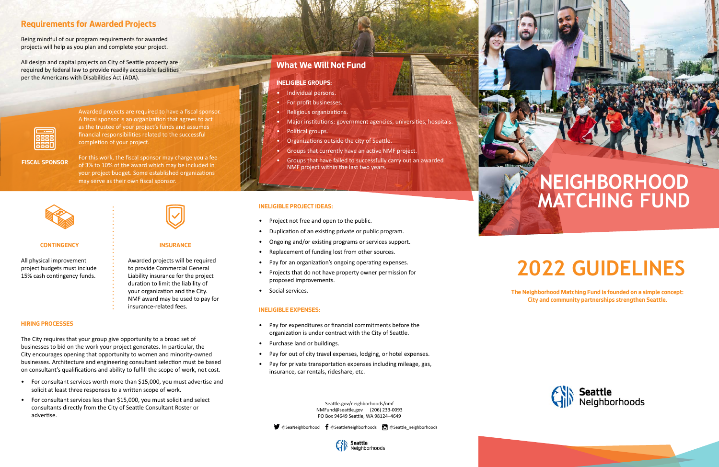# **2022 GUIDELINES**

**The Neighborhood Matching Fund is founded on a simple concept: City and community partnerships strengthen Seattle.** 



Being mindful of our program requirements for awarded projects will help as you plan and complete your project.

All design and capital projects on City of Seattle property are required by federal law to provide readily accessible facilities per the Americans with Disabilities Act (ADA).



# **Requirements for Awarded Projects**

Awarded projects are required to have a fiscal sponsor. A fiscal sponsor is an organization that agrees to act as the trustee of your project's funds and assumes financial responsibilities related to the successful completion of your project.

For this work, the fiscal sponsor may charge you a fee of 3% to 10% of the award which may be included in your project budget. Some established organizations may serve as their own fiscal sponsor.



**FISCAL SPONSOR**

The City requires that your group give opportunity to a broad set of businesses to bid on the work your project generates. In particular, the City encourages opening that opportunity to women and minority-owned businesses. Architecture and engineering consultant selection must be based on consultant's qualifications and ability to fulfill the scope of work, not cost.

- For consultant services worth more than \$15,000, you must advertise and solicit at least three responses to a written scope of work.
- For consultant services less than \$15,000, you must solicit and select consultants directly from the City of Seattle Consultant Roster or advertise.

### **HIRING PROCESSES**

All physical improvement project budgets must include 15% cash contingency funds.



#### **CONTINGENCY**

Awarded projects will be required to provide Commercial General Liability insurance for the project duration to limit the liability of your organization and the City. NMF award may be used to pay for insurance-related fees.

#### **INSURANCE**

- Project not free and open to the public.
- Duplication of an existing private or public program.
- Ongoing and/or existing programs or services support.
- Replacement of funding lost from other sources.
- Pay for an organization's ongoing operating expenses.
- Projects that do not have property owner permission for proposed improvements.
- Social services.

### **INELIGIBLE PROJECT IDEAS:**

#### **INELIGIBLE EXPENSES:**

- Pay for expenditures or financial commitments before the organization is under contract with the City of Seattle.
- Purchase land or buildings.
- Pay for out of city travel expenses, lodging, or hotel expenses.
- Pay for private transportation expenses including mileage, gas, insurance, car rentals, rideshare, etc.

Seattle.gov/neighborhoods/nmf NMFund@seattle.gov (206) 233-0093 PO Box 94649 Seattle, WA 98124–4649

 $\blacktriangleright$  @SeaNeighborhood  $\blacklozenge$  @SeattleNeighborhoods  $\heartsuit$  @Seattle\_neighborhoods



# **What We Will Not Fund**

- Individual persons.
- For profit businesses.
- Religious organizations.
- Major institutions: government agencies, universities, hospitals.
- Political groups.
- Organizations outside the city of Seattle.
- Groups that currently have an active NMF project.
- Groups that have failed to successfully carry out an awarded NMF project within the last two years.

#### **INELIGIBLE GROUPS:**

# **NEIGHBORHOOD MATCHING FUND**